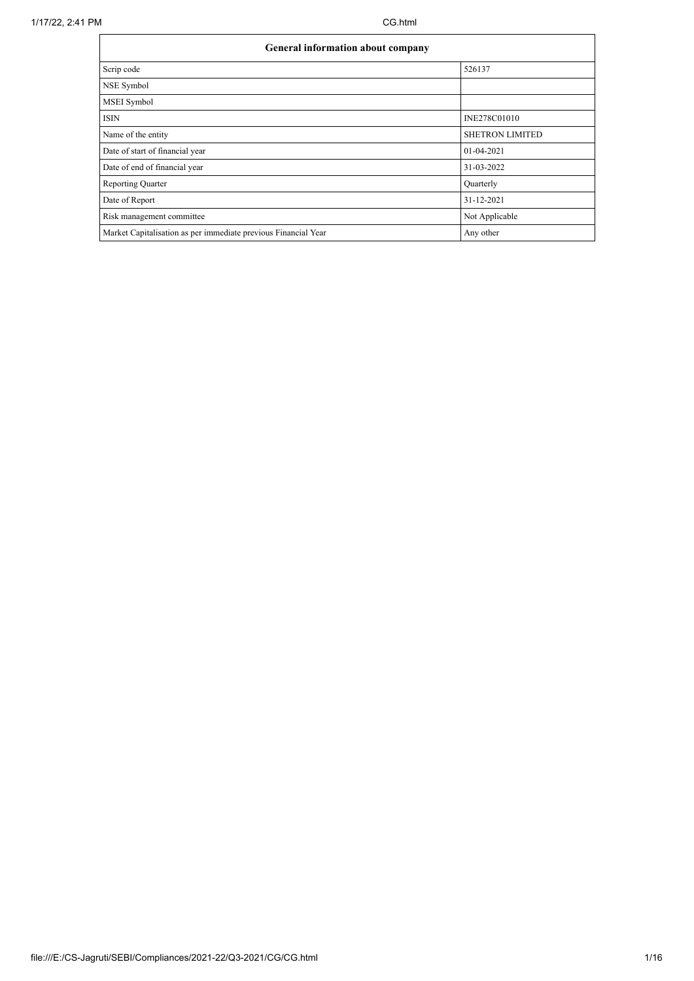| <b>General information about company</b>                       |                        |  |  |  |  |  |
|----------------------------------------------------------------|------------------------|--|--|--|--|--|
| Scrip code                                                     | 526137                 |  |  |  |  |  |
| NSE Symbol                                                     |                        |  |  |  |  |  |
| MSEI Symbol                                                    |                        |  |  |  |  |  |
| <b>ISIN</b>                                                    | INE278C01010           |  |  |  |  |  |
| Name of the entity                                             | <b>SHETRON LIMITED</b> |  |  |  |  |  |
| Date of start of financial year                                | $01-04-2021$           |  |  |  |  |  |
| Date of end of financial year                                  | 31-03-2022             |  |  |  |  |  |
| <b>Reporting Quarter</b>                                       | Quarterly              |  |  |  |  |  |
| Date of Report                                                 | 31-12-2021             |  |  |  |  |  |
| Risk management committee                                      | Not Applicable         |  |  |  |  |  |
| Market Capitalisation as per immediate previous Financial Year | Any other              |  |  |  |  |  |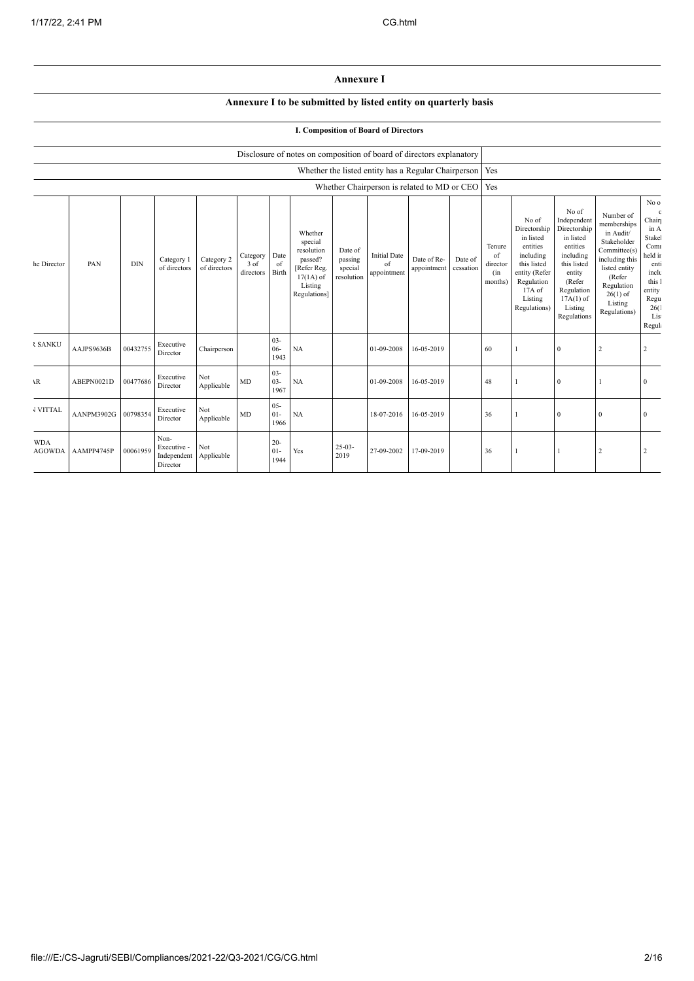## **Annexure I**

## **Annexure I to be submitted by listed entity on quarterly basis**

## **I. Composition of Board of Directors**

|                             |            |            |                                                |                            |                               |                          | Disclosure of notes on composition of board of directors explanatory                                 |                                             |                                                           |                            |                      |                                            |                                                                                                                                                |                                                                                                                                                                      |                                                                                                                                                                          |                                                                                                                               |
|-----------------------------|------------|------------|------------------------------------------------|----------------------------|-------------------------------|--------------------------|------------------------------------------------------------------------------------------------------|---------------------------------------------|-----------------------------------------------------------|----------------------------|----------------------|--------------------------------------------|------------------------------------------------------------------------------------------------------------------------------------------------|----------------------------------------------------------------------------------------------------------------------------------------------------------------------|--------------------------------------------------------------------------------------------------------------------------------------------------------------------------|-------------------------------------------------------------------------------------------------------------------------------|
|                             |            |            |                                                |                            |                               |                          |                                                                                                      |                                             | Whether the listed entity has a Regular Chairperson   Yes |                            |                      |                                            |                                                                                                                                                |                                                                                                                                                                      |                                                                                                                                                                          |                                                                                                                               |
|                             |            |            |                                                |                            |                               |                          |                                                                                                      |                                             | Whether Chairperson is related to MD or CEO               |                            |                      | Yes                                        |                                                                                                                                                |                                                                                                                                                                      |                                                                                                                                                                          |                                                                                                                               |
| he Director                 | PAN        | <b>DIN</b> | Category 1<br>of directors                     | Category 2<br>of directors | Category<br>3 of<br>directors | Date<br>of<br>Birth      | Whether<br>special<br>resolution<br>passed?<br>[Refer Reg.<br>$17(1A)$ of<br>Listing<br>Regulations] | Date of<br>passing<br>special<br>resolution | <b>Initial Date</b><br>of<br>appointment                  | Date of Re-<br>appointment | Date of<br>cessation | Tenure<br>of<br>director<br>(in<br>months) | No of<br>Directorship<br>in listed<br>entities<br>including<br>this listed<br>entity (Refer<br>Regulation<br>17A of<br>Listing<br>Regulations) | No of<br>Independent<br>Directorship<br>in listed<br>entities<br>including<br>this listed<br>entity<br>(Refer<br>Regulation<br>$17A(1)$ of<br>Listing<br>Regulations | Number of<br>memberships<br>in Audit/<br>Stakeholder<br>Committee(s)<br>including this<br>listed entity<br>(Refer<br>Regulation<br>$26(1)$ of<br>Listing<br>Regulations) | No o<br>Chair<br>in A<br>Stake<br>Com<br>held in<br>enti<br>inclu<br>this 1<br>entity<br>Regu<br>26(<br>Lis<br><b>Regul</b> : |
| <b>₹ SANKU</b>              | AAJPS9636B | 00432755   | Executive<br>Director                          | Chairperson                |                               | $03 -$<br>$06 -$<br>1943 | NA                                                                                                   |                                             | 01-09-2008                                                | 16-05-2019                 |                      | 60                                         |                                                                                                                                                | $\theta$                                                                                                                                                             |                                                                                                                                                                          | $\overline{2}$                                                                                                                |
| $\mathbf{R}$                | ABEPN0021D | 00477686   | Executive<br>Director                          | Not<br>Applicable          | MD                            | $03 -$<br>$03 -$<br>1967 | NA                                                                                                   |                                             | 01-09-2008                                                | 16-05-2019                 |                      | 48                                         |                                                                                                                                                | $\Omega$                                                                                                                                                             |                                                                                                                                                                          | $\Omega$                                                                                                                      |
| <b>VITTAL</b>               | AANPM3902G | 00798354   | Executive<br>Director                          | Not<br>Applicable          | MD                            | $05 -$<br>$01 -$<br>1966 | NA                                                                                                   |                                             | 18-07-2016                                                | 16-05-2019                 |                      | 36                                         |                                                                                                                                                | $\Omega$                                                                                                                                                             | $\mathbf{0}$                                                                                                                                                             | $\Omega$                                                                                                                      |
| <b>WDA</b><br><b>AGOWDA</b> | AAMPP4745P | 00061959   | Non-<br>Executive -<br>Independent<br>Director | Not<br>Applicable          |                               | $20 -$<br>$01 -$<br>1944 | Yes                                                                                                  | $25-03-$<br>2019                            | 27-09-2002                                                | 17-09-2019                 |                      | 36                                         |                                                                                                                                                |                                                                                                                                                                      | 2                                                                                                                                                                        |                                                                                                                               |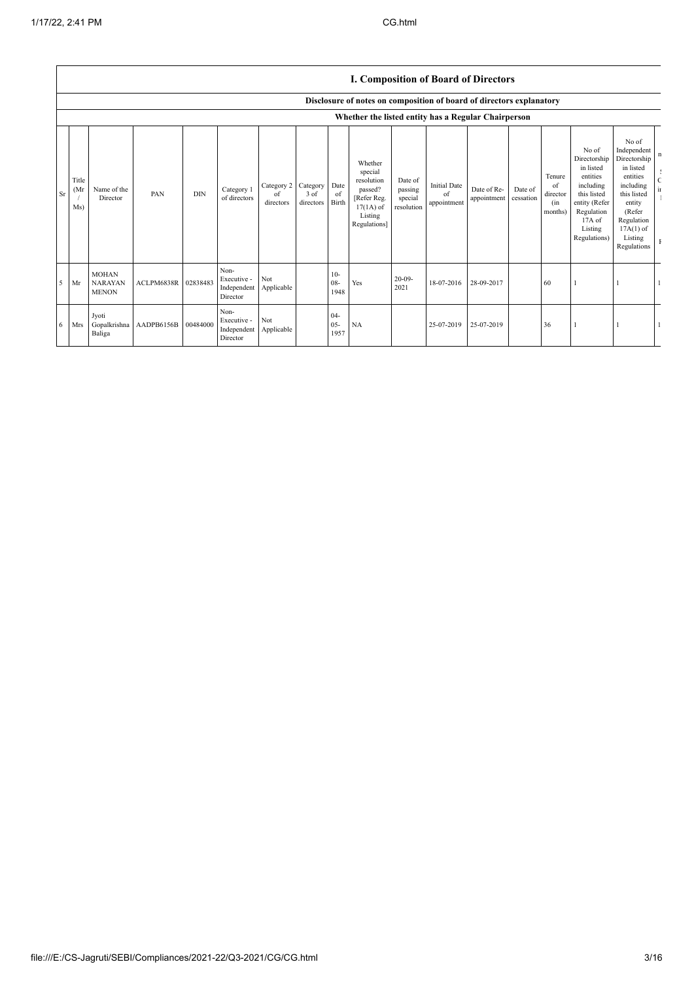|    |                     |                                                |                         |            |                                                           |                               |                               |                          | I. Composition of Board of Directors                                                                 |                                             |                                          |                            |                      |                                            |                                                                                                                                                |                                                                                                                                                                      |                                            |
|----|---------------------|------------------------------------------------|-------------------------|------------|-----------------------------------------------------------|-------------------------------|-------------------------------|--------------------------|------------------------------------------------------------------------------------------------------|---------------------------------------------|------------------------------------------|----------------------------|----------------------|--------------------------------------------|------------------------------------------------------------------------------------------------------------------------------------------------|----------------------------------------------------------------------------------------------------------------------------------------------------------------------|--------------------------------------------|
|    |                     |                                                |                         |            |                                                           |                               |                               |                          | Disclosure of notes on composition of board of directors explanatory                                 |                                             |                                          |                            |                      |                                            |                                                                                                                                                |                                                                                                                                                                      |                                            |
|    |                     |                                                |                         |            |                                                           |                               |                               |                          | Whether the listed entity has a Regular Chairperson                                                  |                                             |                                          |                            |                      |                                            |                                                                                                                                                |                                                                                                                                                                      |                                            |
| Sr | Title<br>(Mr<br>Ms) | Name of the<br>Director                        | PAN                     | <b>DIN</b> | Category 1<br>of directors                                | Category 2<br>of<br>directors | Category<br>3 of<br>directors | Date<br>of<br>Birth      | Whether<br>special<br>resolution<br>passed?<br>[Refer Reg.<br>$17(1A)$ of<br>Listing<br>Regulations] | Date of<br>passing<br>special<br>resolution | <b>Initial Date</b><br>of<br>appointment | Date of Re-<br>appointment | Date of<br>cessation | Tenure<br>of<br>director<br>(in<br>months) | No of<br>Directorship<br>in listed<br>entities<br>including<br>this listed<br>entity (Refer<br>Regulation<br>17A of<br>Listing<br>Regulations) | No of<br>Independent<br>Directorship<br>in listed<br>entities<br>including<br>this listed<br>entity<br>(Refer<br>Regulation<br>$17A(1)$ of<br>Listing<br>Regulations | n<br>$\epsilon$<br>$\overline{\mathbf{u}}$ |
|    | $5$ Mr              | <b>MOHAN</b><br><b>NARAYAN</b><br><b>MENON</b> | ACLPM6838R              | 02838483   | Non-<br>Executive -<br>Independent Applicable<br>Director | Not                           |                               | $10-$<br>$08 -$<br>1948  | Yes                                                                                                  | $20 - 09 -$<br>2021                         | 18-07-2016                               | 28-09-2017                 |                      | 60                                         |                                                                                                                                                |                                                                                                                                                                      |                                            |
| 6  | <b>Mrs</b>          | Jyoti<br>Baliga                                | Gopalkrishna AADPB6156B | 00484000   | Non-<br>Executive -<br>Independent<br>Director            | Not<br>Applicable             |                               | $04 -$<br>$05 -$<br>1957 | NA                                                                                                   |                                             | 25-07-2019                               | 25-07-2019                 |                      | 36                                         |                                                                                                                                                |                                                                                                                                                                      |                                            |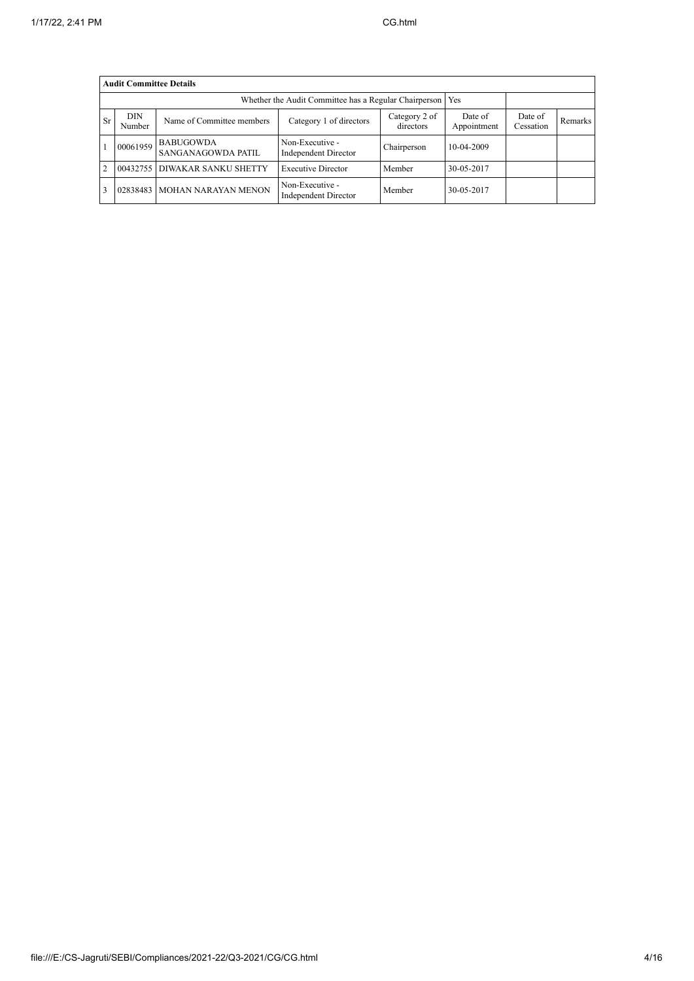|                | <b>Audit Committee Details</b>                              |                                        |                                         |                            |                        |                      |         |  |  |
|----------------|-------------------------------------------------------------|----------------------------------------|-----------------------------------------|----------------------------|------------------------|----------------------|---------|--|--|
|                | Whether the Audit Committee has a Regular Chairperson   Yes |                                        |                                         |                            |                        |                      |         |  |  |
| <b>Sr</b>      | <b>DIN</b><br>Number                                        | Name of Committee members              | Category 1 of directors                 | Category 2 of<br>directors | Date of<br>Appointment | Date of<br>Cessation | Remarks |  |  |
|                | 00061959                                                    | <b>BABUGOWDA</b><br>SANGANAGOWDA PATIL | Non-Executive -<br>Independent Director | Chairperson                | 10-04-2009             |                      |         |  |  |
| $\overline{2}$ |                                                             | 00432755 DIWAKAR SANKU SHETTY          | <b>Executive Director</b>               | Member                     | 30-05-2017             |                      |         |  |  |
|                | 02838483                                                    | MOHAN NARAYAN MENON                    | Non-Executive -<br>Independent Director | Member                     | 30-05-2017             |                      |         |  |  |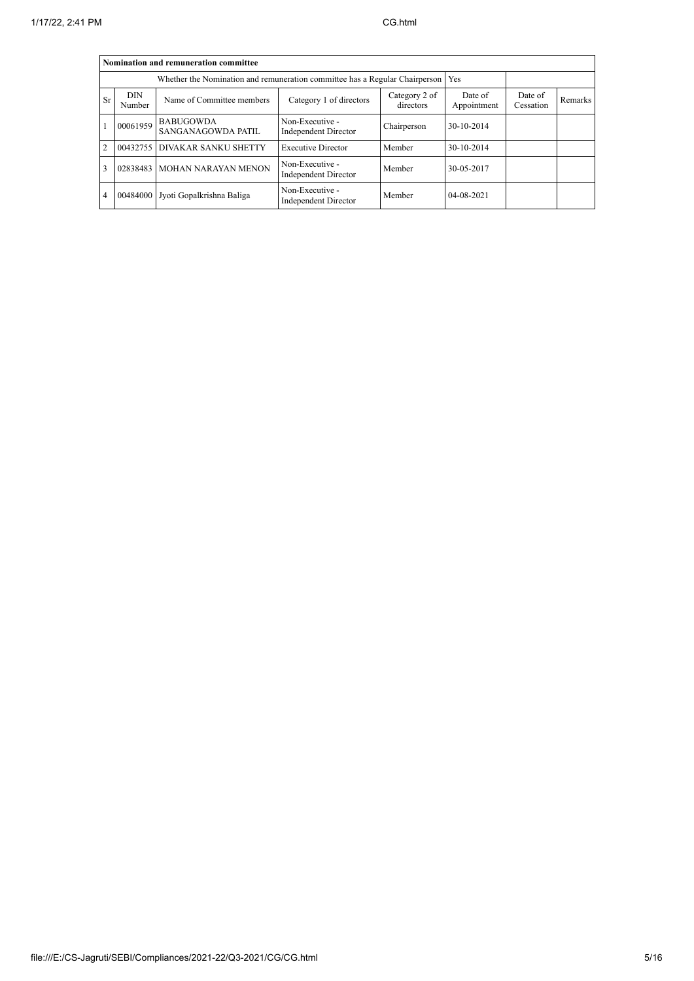|                | Nomination and remuneration committee                                                                      |                                                                             |                                         |             |                  |                      |         |  |  |
|----------------|------------------------------------------------------------------------------------------------------------|-----------------------------------------------------------------------------|-----------------------------------------|-------------|------------------|----------------------|---------|--|--|
|                |                                                                                                            | Whether the Nomination and remuneration committee has a Regular Chairperson |                                         |             | <b>Yes</b>       |                      |         |  |  |
| Sr             | <b>DIN</b><br>Category 2 of<br>Name of Committee members<br>Category 1 of directors<br>directors<br>Number |                                                                             |                                         |             |                  | Date of<br>Cessation | Remarks |  |  |
|                | 00061959                                                                                                   | <b>BABUGOWDA</b><br>SANGANAGOWDA PATIL                                      | Non-Executive -<br>Independent Director | Chairperson | 30-10-2014       |                      |         |  |  |
| $\overline{2}$ |                                                                                                            | 00432755 DIVAKAR SANKU SHETTY                                               | <b>Executive Director</b>               | Member      | 30-10-2014       |                      |         |  |  |
| 3              |                                                                                                            | 02838483 MOHAN NARAYAN MENON                                                | Non-Executive -<br>Independent Director | Member      | 30-05-2017       |                      |         |  |  |
| $\overline{4}$ |                                                                                                            | 00484000 Jyoti Gopalkrishna Baliga                                          | Non-Executive -<br>Independent Director | Member      | $04 - 08 - 2021$ |                      |         |  |  |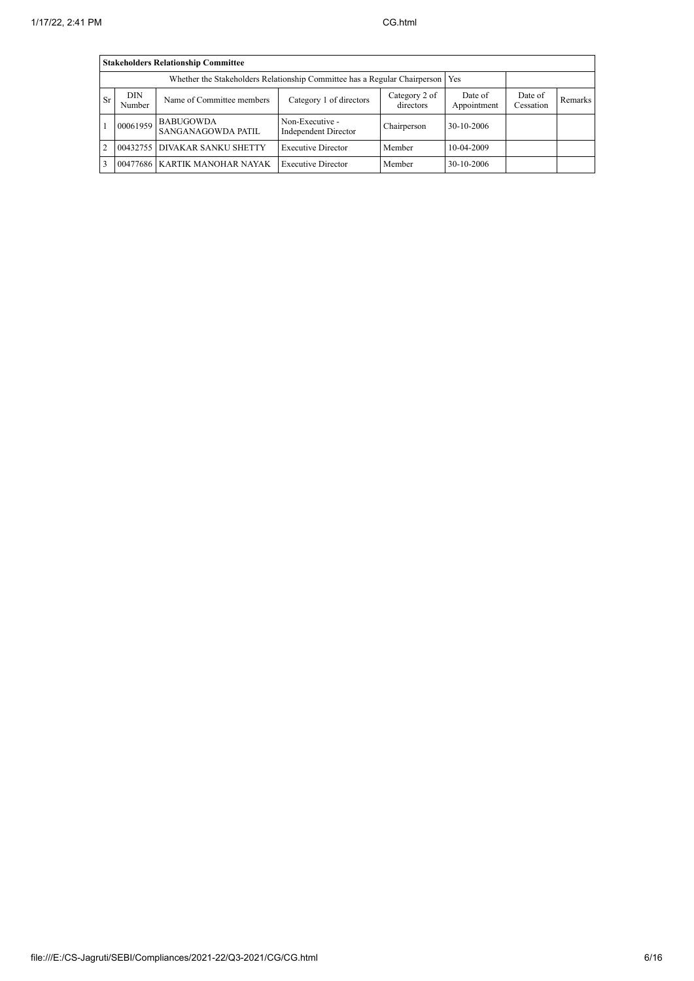|     | <b>Stakeholders Relationship Committee</b> |                                        |                                         |                            |                        |                      |         |  |  |
|-----|--------------------------------------------|----------------------------------------|-----------------------------------------|----------------------------|------------------------|----------------------|---------|--|--|
|     |                                            |                                        |                                         |                            |                        |                      |         |  |  |
| Sr. | <b>DIN</b><br>Number                       | Name of Committee members              | Category 1 of directors                 | Category 2 of<br>directors | Date of<br>Appointment | Date of<br>Cessation | Remarks |  |  |
|     | 00061959                                   | <b>BABUGOWDA</b><br>SANGANAGOWDA PATIL | Non-Executive -<br>Independent Director | Chairperson                | 30-10-2006             |                      |         |  |  |
| 2   | 00432755                                   | <b>DIVAKAR SANKU SHETTY</b>            | <b>Executive Director</b>               | Member                     | 10-04-2009             |                      |         |  |  |
| 3   |                                            | 00477686 KARTIK MANOHAR NAYAK          | <b>Executive Director</b>               | Member                     | 30-10-2006             |                      |         |  |  |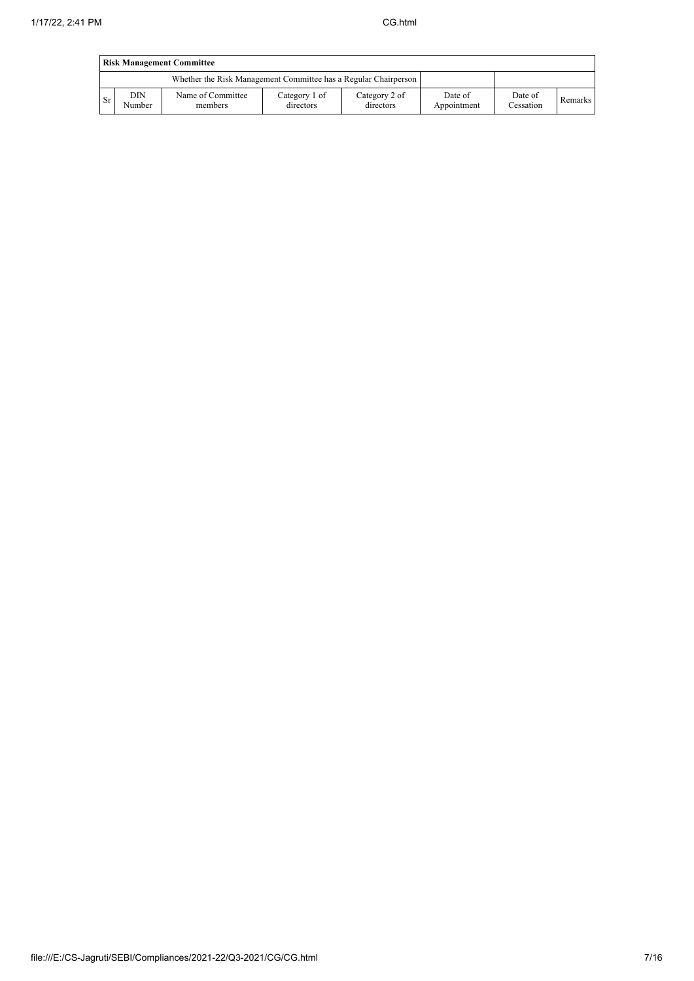|           | <b>Risk Management Committee</b> |                                                                 |                            |                            |                        |                      |         |  |  |
|-----------|----------------------------------|-----------------------------------------------------------------|----------------------------|----------------------------|------------------------|----------------------|---------|--|--|
|           |                                  | Whether the Risk Management Committee has a Regular Chairperson |                            |                            |                        |                      |         |  |  |
| <b>Sr</b> | <b>DIN</b><br>Number             | Name of Committee<br>members                                    | Category 1 of<br>directors | Category 2 of<br>directors | Date of<br>Appointment | Date of<br>Cessation | Remarks |  |  |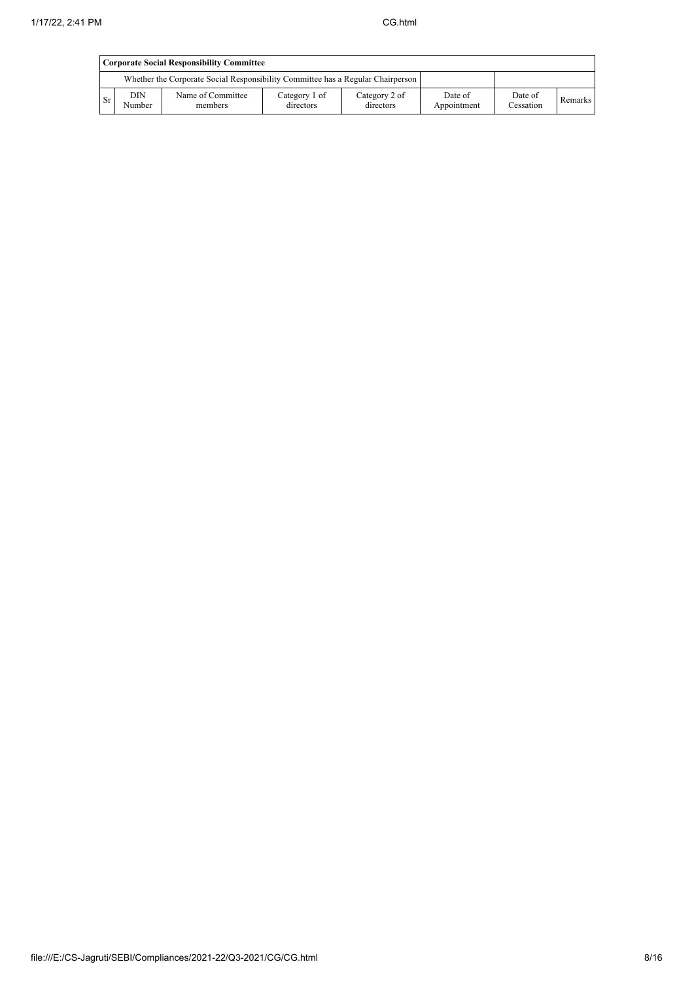|           | <b>Corporate Social Responsibility Committee</b> |                                                                                 |                            |                            |                        |                      |         |  |  |
|-----------|--------------------------------------------------|---------------------------------------------------------------------------------|----------------------------|----------------------------|------------------------|----------------------|---------|--|--|
|           |                                                  | Whether the Corporate Social Responsibility Committee has a Regular Chairperson |                            |                            |                        |                      |         |  |  |
| <b>Sr</b> | DIN<br>Number                                    | Name of Committee<br>members                                                    | Category 1 of<br>directors | Category 2 of<br>directors | Date of<br>Appointment | Date of<br>Cessation | Remarks |  |  |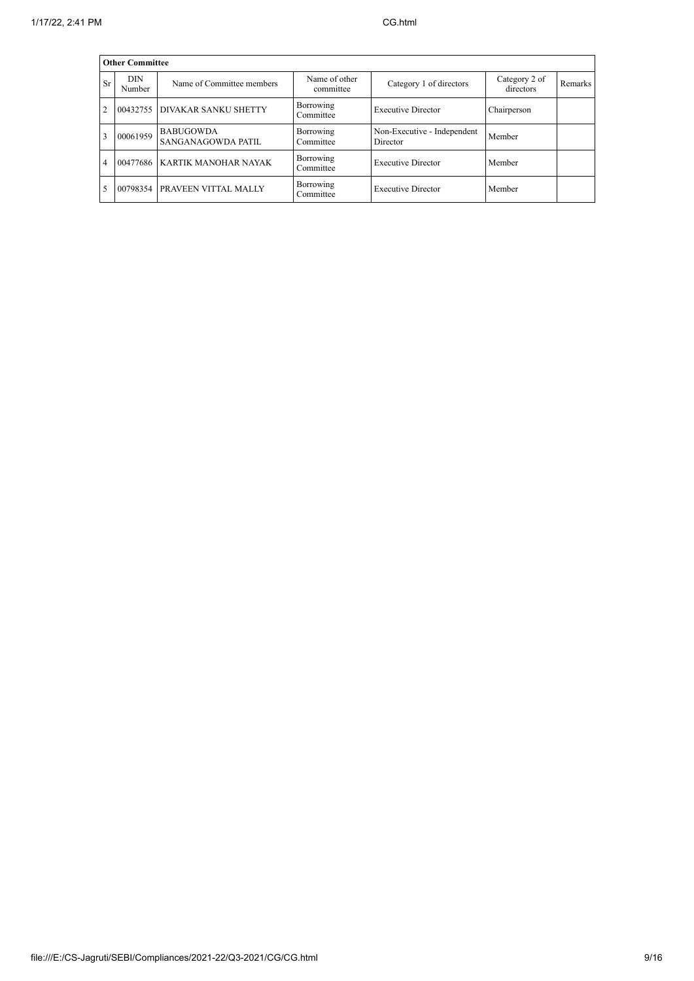|                | <b>Other Committee</b> |                                        |                            |                                         |                            |         |  |  |  |
|----------------|------------------------|----------------------------------------|----------------------------|-----------------------------------------|----------------------------|---------|--|--|--|
| Sr             | DIN.<br>Number         | Name of Committee members              | Name of other<br>committee | Category 1 of directors                 | Category 2 of<br>directors | Remarks |  |  |  |
| $\overline{2}$ |                        | 00432755 DIVAKAR SANKU SHETTY          | Borrowing<br>Committee     | <b>Executive Director</b>               | Chairperson                |         |  |  |  |
| 3              | 00061959               | <b>BABUGOWDA</b><br>SANGANAGOWDA PATIL | Borrowing<br>Committee     | Non-Executive - Independent<br>Director | Member                     |         |  |  |  |
| $\overline{4}$ |                        | 00477686 KARTIK MANOHAR NAYAK          | Borrowing<br>Committee     | <b>Executive Director</b>               | Member                     |         |  |  |  |
| 5              |                        | 00798354 PRAVEEN VITTAL MALLY          | Borrowing<br>Committee     | <b>Executive Director</b>               | Member                     |         |  |  |  |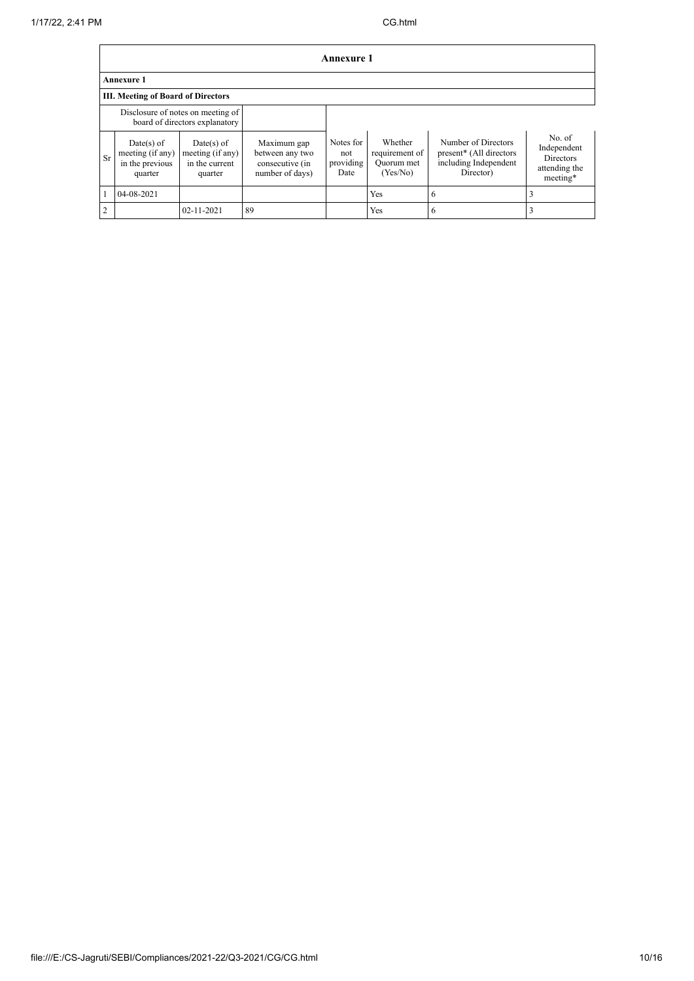|                | Annexure 1                                                          |                                                               |                                                                      |                                       |                                                     |                                                                                      |                                                                        |  |  |
|----------------|---------------------------------------------------------------------|---------------------------------------------------------------|----------------------------------------------------------------------|---------------------------------------|-----------------------------------------------------|--------------------------------------------------------------------------------------|------------------------------------------------------------------------|--|--|
|                | <b>Annexure 1</b>                                                   |                                                               |                                                                      |                                       |                                                     |                                                                                      |                                                                        |  |  |
|                | <b>III. Meeting of Board of Directors</b>                           |                                                               |                                                                      |                                       |                                                     |                                                                                      |                                                                        |  |  |
|                | Disclosure of notes on meeting of<br>board of directors explanatory |                                                               |                                                                      |                                       |                                                     |                                                                                      |                                                                        |  |  |
| Sr             | $Date(s)$ of<br>meeting (if any)<br>in the previous<br>quarter      | $Date(s)$ of<br>meeting (if any)<br>in the current<br>quarter | Maximum gap<br>between any two<br>consecutive (in<br>number of days) | Notes for<br>not<br>providing<br>Date | Whether<br>requirement of<br>Quorum met<br>(Yes/No) | Number of Directors<br>present* (All directors<br>including Independent<br>Director) | No. of<br>Independent<br><b>Directors</b><br>attending the<br>meeting* |  |  |
|                | 04-08-2021                                                          |                                                               |                                                                      |                                       | Yes                                                 | 6                                                                                    |                                                                        |  |  |
| $\overline{2}$ |                                                                     | 02-11-2021                                                    | 89                                                                   |                                       | Yes                                                 | 6                                                                                    |                                                                        |  |  |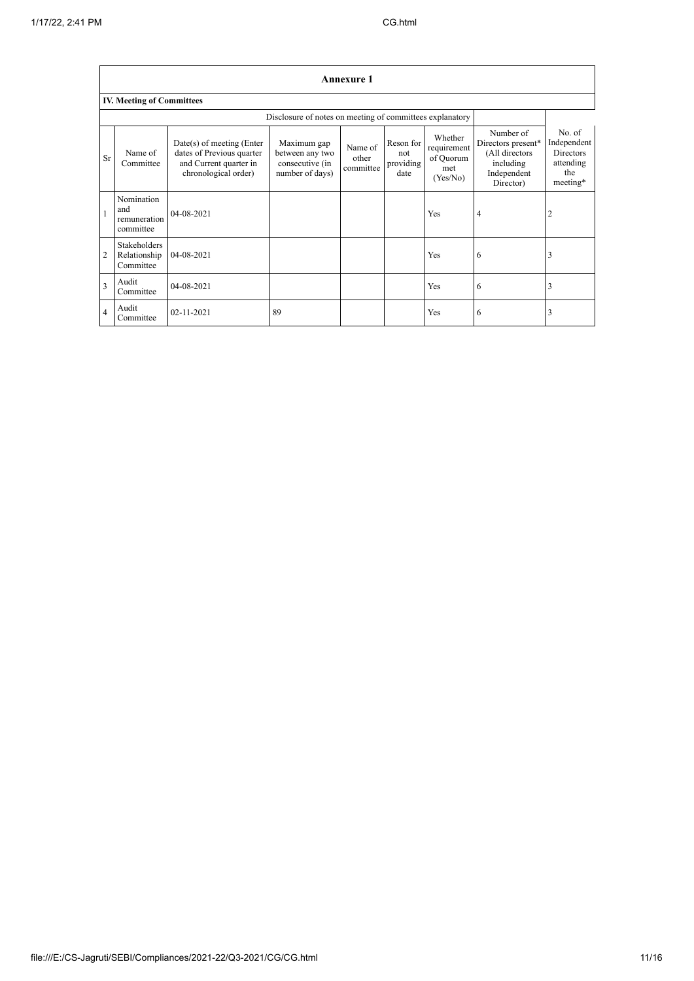|                         | <b>Annexure 1</b>                                        |                                                                                                            |                                                                      |                               |                                       |                                                        |                                                                                            |                                                                           |  |  |
|-------------------------|----------------------------------------------------------|------------------------------------------------------------------------------------------------------------|----------------------------------------------------------------------|-------------------------------|---------------------------------------|--------------------------------------------------------|--------------------------------------------------------------------------------------------|---------------------------------------------------------------------------|--|--|
|                         | <b>IV. Meeting of Committees</b>                         |                                                                                                            |                                                                      |                               |                                       |                                                        |                                                                                            |                                                                           |  |  |
|                         | Disclosure of notes on meeting of committees explanatory |                                                                                                            |                                                                      |                               |                                       |                                                        |                                                                                            |                                                                           |  |  |
| <b>Sr</b>               | Name of<br>Committee                                     | $Date(s)$ of meeting (Enter<br>dates of Previous quarter<br>and Current quarter in<br>chronological order) | Maximum gap<br>between any two<br>consecutive (in<br>number of days) | Name of<br>other<br>committee | Reson for<br>not<br>providing<br>date | Whether<br>requirement<br>of Quorum<br>met<br>(Yes/No) | Number of<br>Directors present*<br>(All directors<br>including<br>Independent<br>Director) | No. of<br>Independent<br><b>Directors</b><br>attending<br>the<br>meeting* |  |  |
| $\mathbf{1}$            | Nomination<br>and<br>remuneration<br>committee           | $04 - 08 - 2021$                                                                                           |                                                                      |                               |                                       | Yes                                                    | 4                                                                                          | 2                                                                         |  |  |
| $\overline{2}$          | <b>Stakeholders</b><br>Relationship<br>Committee         | 04-08-2021                                                                                                 |                                                                      |                               |                                       | Yes                                                    | 6                                                                                          | 3                                                                         |  |  |
| $\overline{\mathbf{3}}$ | Audit<br>Committee                                       | 04-08-2021                                                                                                 |                                                                      |                               |                                       | Yes                                                    | 6                                                                                          | 3                                                                         |  |  |
| $\overline{4}$          | Audit<br>Committee                                       | 02-11-2021                                                                                                 | 89                                                                   |                               |                                       | Yes                                                    | 6                                                                                          | 3                                                                         |  |  |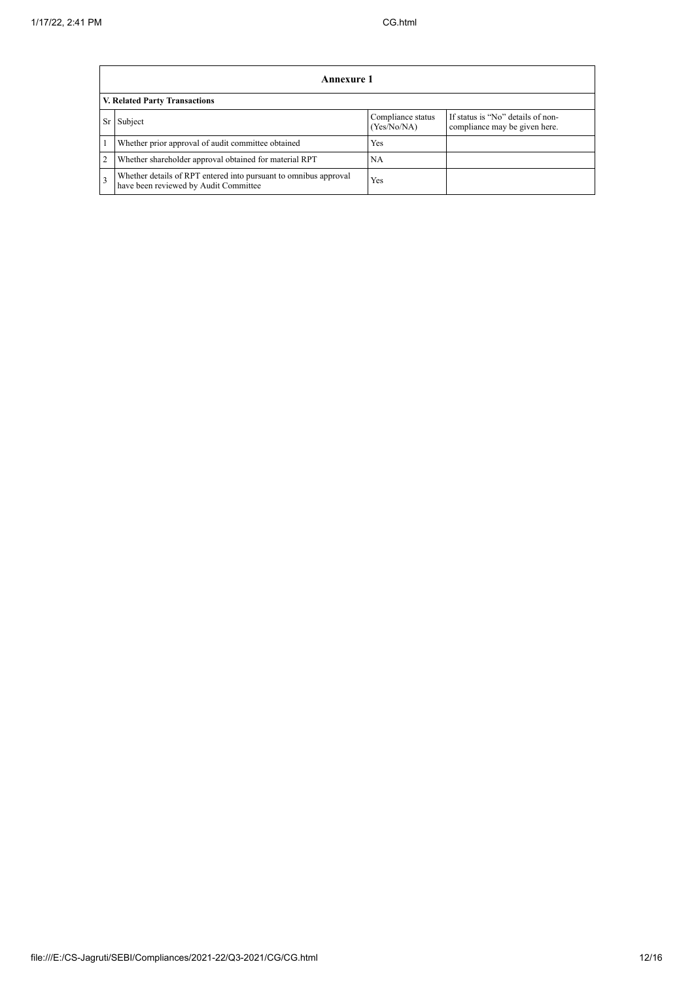|                | Annexure 1                                                                                                |                                  |                                                                    |  |  |  |  |  |
|----------------|-----------------------------------------------------------------------------------------------------------|----------------------------------|--------------------------------------------------------------------|--|--|--|--|--|
|                | V. Related Party Transactions                                                                             |                                  |                                                                    |  |  |  |  |  |
| Sr             | Subject                                                                                                   | Compliance status<br>(Yes/No/NA) | If status is "No" details of non-<br>compliance may be given here. |  |  |  |  |  |
|                | Whether prior approval of audit committee obtained                                                        | <b>Yes</b>                       |                                                                    |  |  |  |  |  |
| $\overline{c}$ | Whether shareholder approval obtained for material RPT                                                    | <b>NA</b>                        |                                                                    |  |  |  |  |  |
| 3              | Whether details of RPT entered into pursuant to omnibus approval<br>have been reviewed by Audit Committee | Yes                              |                                                                    |  |  |  |  |  |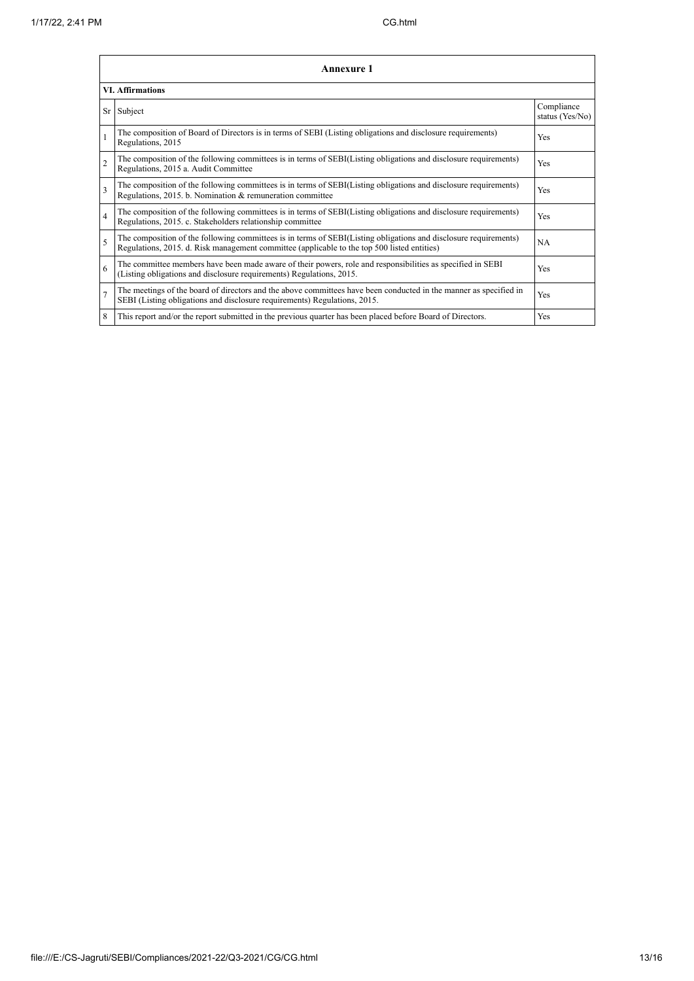|                         | Annexure 1                                                                                                                                                                                                      |                               |  |  |
|-------------------------|-----------------------------------------------------------------------------------------------------------------------------------------------------------------------------------------------------------------|-------------------------------|--|--|
| <b>VI.</b> Affirmations |                                                                                                                                                                                                                 |                               |  |  |
|                         | Sr Subject                                                                                                                                                                                                      | Compliance<br>status (Yes/No) |  |  |
| 1                       | The composition of Board of Directors is in terms of SEBI (Listing obligations and disclosure requirements)<br>Regulations, 2015                                                                                | Yes                           |  |  |
| $\overline{2}$          | The composition of the following committees is in terms of SEBI(Listing obligations and disclosure requirements)<br>Regulations, 2015 a. Audit Committee                                                        | Yes                           |  |  |
| 3                       | The composition of the following committees is in terms of SEBI(Listing obligations and disclosure requirements)<br>Regulations, 2015. b. Nomination & remuneration committee                                   | Yes                           |  |  |
| 4                       | The composition of the following committees is in terms of SEBI(Listing obligations and disclosure requirements)<br>Regulations, 2015. c. Stakeholders relationship committee                                   | Yes                           |  |  |
| 5                       | The composition of the following committees is in terms of SEBI(Listing obligations and disclosure requirements)<br>Regulations, 2015. d. Risk management committee (applicable to the top 500 listed entities) | <b>NA</b>                     |  |  |
| 6                       | The committee members have been made aware of their powers, role and responsibilities as specified in SEBI<br>(Listing obligations and disclosure requirements) Regulations, 2015.                              | Yes                           |  |  |
| 7                       | The meetings of the board of directors and the above committees have been conducted in the manner as specified in<br>SEBI (Listing obligations and disclosure requirements) Regulations, 2015.                  | Yes                           |  |  |
| 8                       | This report and/or the report submitted in the previous quarter has been placed before Board of Directors.                                                                                                      | Yes                           |  |  |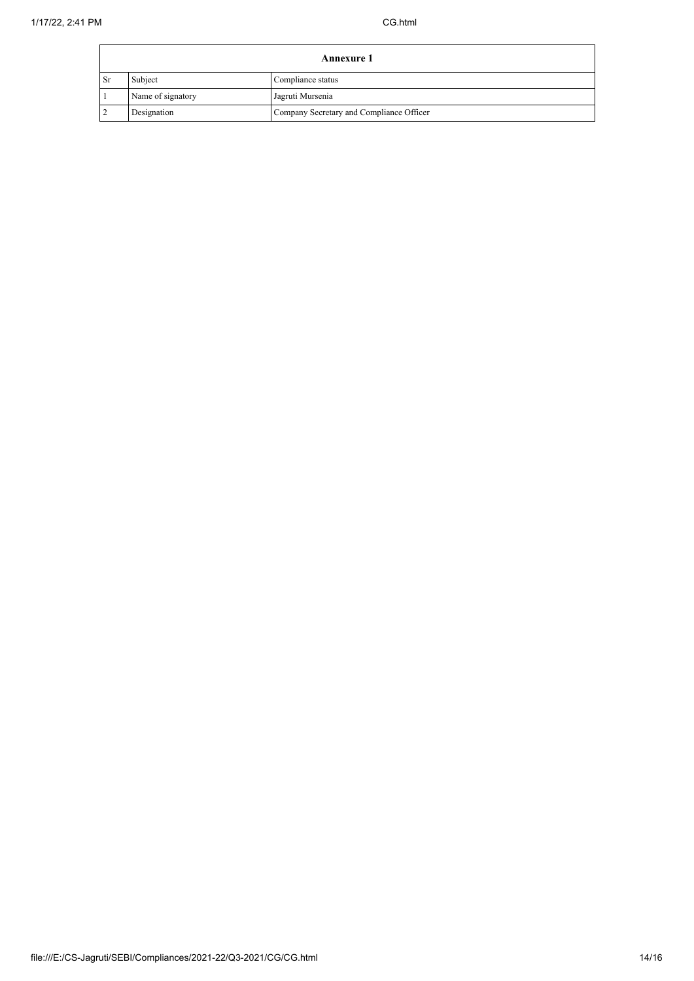| <b>Annexure 1</b> |                   |                                          |
|-------------------|-------------------|------------------------------------------|
| l Sr              | Subject           | Compliance status                        |
|                   | Name of signatory | Jagruti Mursenia                         |
|                   | Designation       | Company Secretary and Compliance Officer |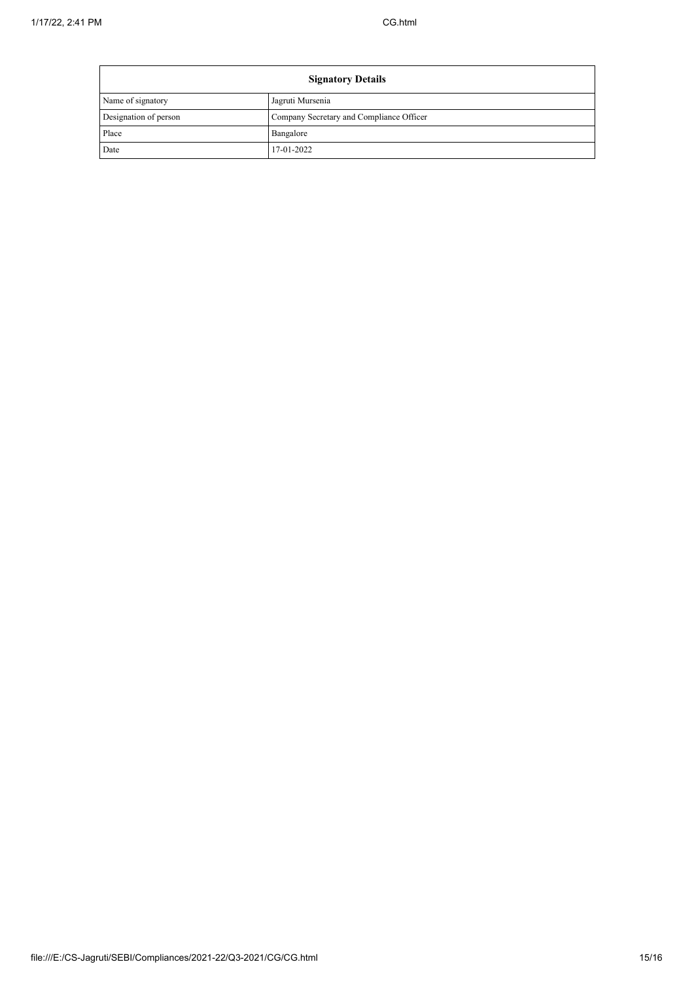$\blacksquare$ 

| <b>Signatory Details</b> |                                          |  |
|--------------------------|------------------------------------------|--|
| Name of signatory        | Jagruti Mursenia                         |  |
| Designation of person    | Company Secretary and Compliance Officer |  |
| Place                    | Bangalore                                |  |
| Date                     | 17-01-2022                               |  |